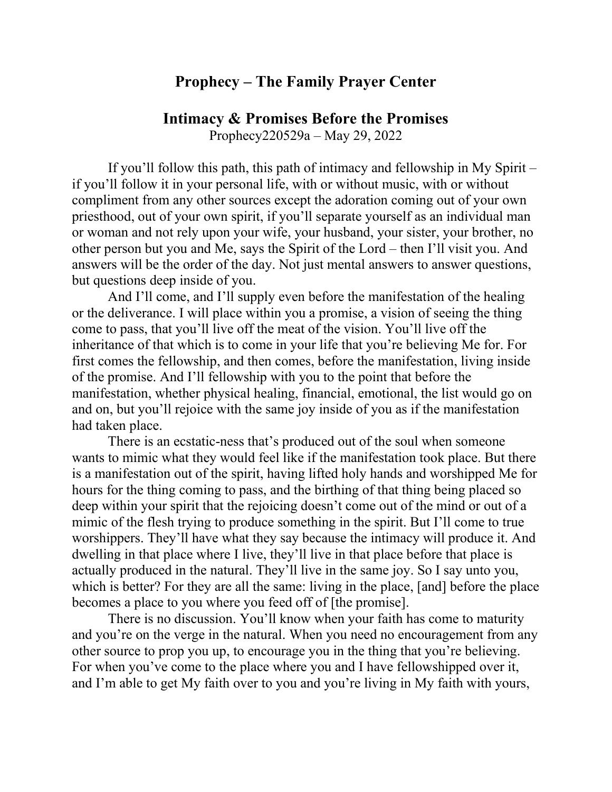## **Prophecy – The Family Prayer Center**

## **Intimacy & Promises Before the Promises**

Prophecy220529a – May 29, 2022

If you'll follow this path, this path of intimacy and fellowship in My Spirit – if you'll follow it in your personal life, with or without music, with or without compliment from any other sources except the adoration coming out of your own priesthood, out of your own spirit, if you'll separate yourself as an individual man or woman and not rely upon your wife, your husband, your sister, your brother, no other person but you and Me, says the Spirit of the Lord – then I'll visit you. And answers will be the order of the day. Not just mental answers to answer questions, but questions deep inside of you.

And I'll come, and I'll supply even before the manifestation of the healing or the deliverance. I will place within you a promise, a vision of seeing the thing come to pass, that you'll live off the meat of the vision. You'll live off the inheritance of that which is to come in your life that you're believing Me for. For first comes the fellowship, and then comes, before the manifestation, living inside of the promise. And I'll fellowship with you to the point that before the manifestation, whether physical healing, financial, emotional, the list would go on and on, but you'll rejoice with the same joy inside of you as if the manifestation had taken place.

There is an ecstatic-ness that's produced out of the soul when someone wants to mimic what they would feel like if the manifestation took place. But there is a manifestation out of the spirit, having lifted holy hands and worshipped Me for hours for the thing coming to pass, and the birthing of that thing being placed so deep within your spirit that the rejoicing doesn't come out of the mind or out of a mimic of the flesh trying to produce something in the spirit. But I'll come to true worshippers. They'll have what they say because the intimacy will produce it. And dwelling in that place where I live, they'll live in that place before that place is actually produced in the natural. They'll live in the same joy. So I say unto you, which is better? For they are all the same: living in the place, [and] before the place becomes a place to you where you feed off of [the promise].

There is no discussion. You'll know when your faith has come to maturity and you're on the verge in the natural. When you need no encouragement from any other source to prop you up, to encourage you in the thing that you're believing. For when you've come to the place where you and I have fellowshipped over it, and I'm able to get My faith over to you and you're living in My faith with yours,